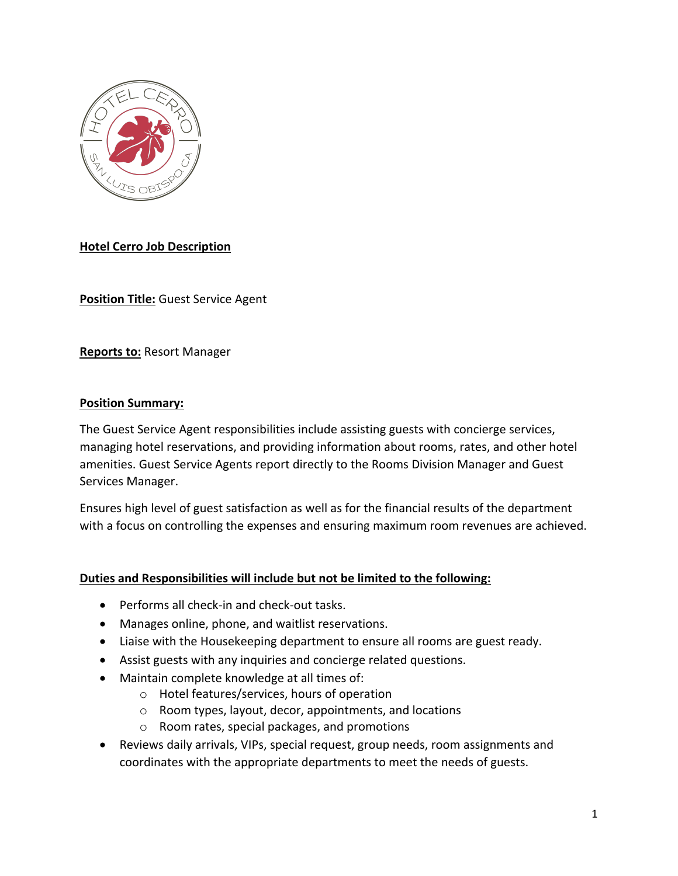

# **Hotel Cerro Job Description**

**Position Title:** Guest Service Agent

**Reports to:** Resort Manager

### **Position Summary:**

The Guest Service Agent responsibilities include assisting guests with concierge services, managing hotel reservations, and providing information about rooms, rates, and other hotel amenities. Guest Service Agents report directly to the Rooms Division Manager and Guest Services Manager.

Ensures high level of guest satisfaction as well as for the financial results of the department with a focus on controlling the expenses and ensuring maximum room revenues are achieved.

## **Duties and Responsibilities will include but not be limited to the following:**

- Performs all check-in and check-out tasks.
- Manages online, phone, and waitlist reservations.
- Liaise with the Housekeeping department to ensure all rooms are guest ready.
- Assist guests with any inquiries and concierge related questions.
- Maintain complete knowledge at all times of:
	- o Hotel features/services, hours of operation
	- o Room types, layout, decor, appointments, and locations
	- o Room rates, special packages, and promotions
- Reviews daily arrivals, VIPs, special request, group needs, room assignments and coordinates with the appropriate departments to meet the needs of guests.